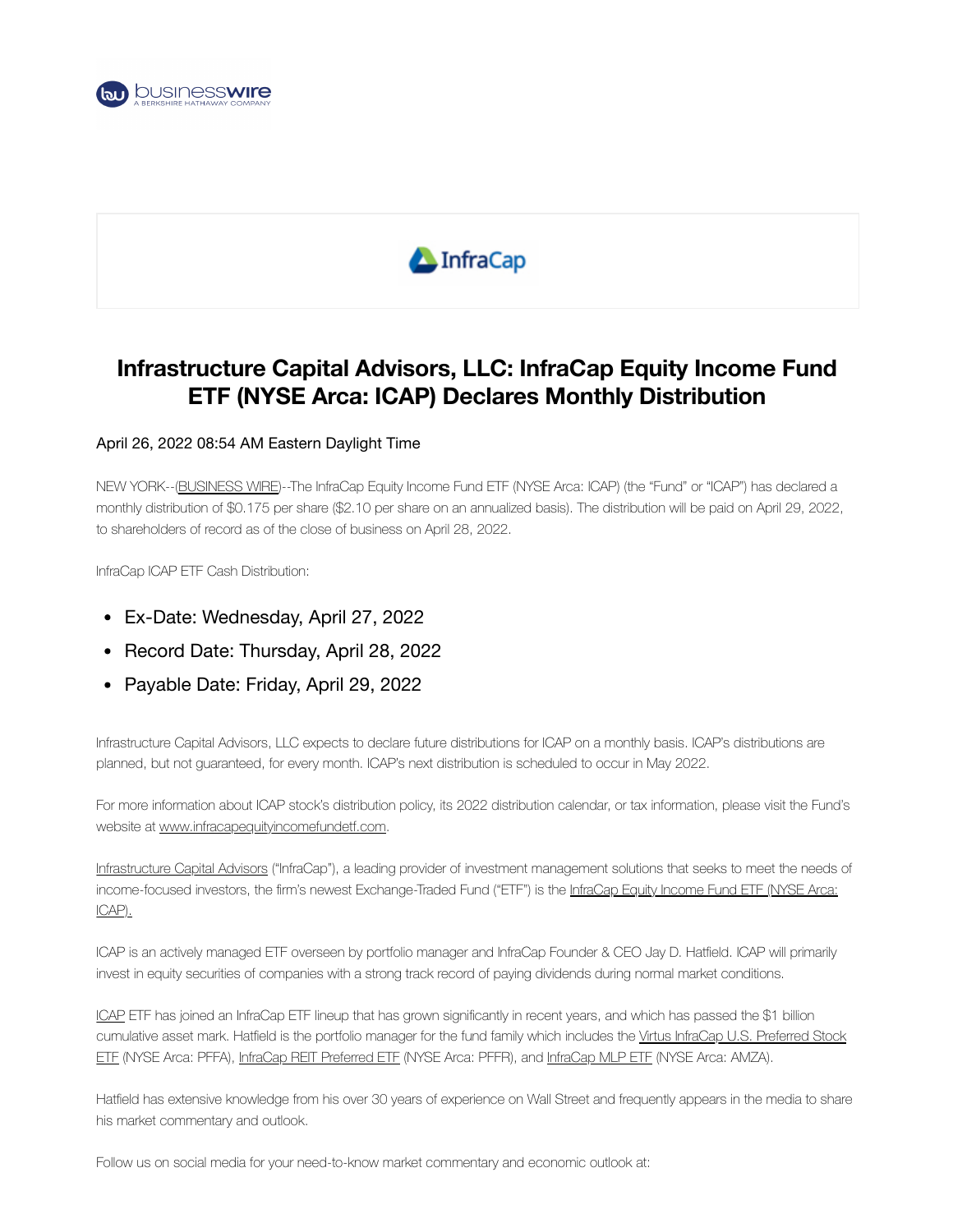



# **Infrastructure Capital Advisors, LLC: InfraCap Equity Income Fund ETF (NYSE Arca: ICAP) Declares Monthly Distribution**

#### April 26, 2022 08:54 AM Eastern Daylight Time

NEW YORK--[\(BUSINESS](https://www.businesswire.com/) WIRE)--The InfraCap Equity Income Fund ETF (NYSE Arca: ICAP) (the "Fund" or "ICAP") has declared a monthly distribution of \$0.175 per share (\$2.10 per share on an annualized basis). The distribution will be paid on April 29, 2022, to shareholders of record as of the close of business on April 28, 2022.

InfraCap ICAP ETF Cash Distribution:

- Ex-Date: Wednesday, April 27, 2022
- Record Date: Thursday, April 28, 2022
- Payable Date: Friday, April 29, 2022

Infrastructure Capital Advisors, LLC expects to declare future distributions for ICAP on a monthly basis. ICAP's distributions are planned, but not guaranteed, for every month. ICAP's next distribution is scheduled to occur in May 2022.

For more information about ICAP stock's distribution policy, its 2022 distribution calendar, or tax information, please visit the Fund's website at [www.infracapequityincomefundetf.com](https://cts.businesswire.com/ct/CT?id=smartlink&url=http%3A%2F%2Fwww.infracapequityincomefundetf.com&esheet=52697775&newsitemid=20220426005801&lan=en-US&anchor=www.infracapequityincomefundetf.com&index=1&md5=039d44d717cff4798137eca8071a1664).

[Infrastructure](https://cts.businesswire.com/ct/CT?id=smartlink&url=https%3A%2F%2Fwww.infracapfunds.com%2F&esheet=52697775&newsitemid=20220426005801&lan=en-US&anchor=Infrastructure+Capital+Advisors&index=2&md5=bc0eeeda4443dfe4005512db542181f3) Capital Advisors ("InfraCap"), a leading provider of investment management solutions that seeks to meet the needs of income-focused investors, the firm's newest [Exchange-Traded](https://cts.businesswire.com/ct/CT?id=smartlink&url=http%3A%2F%2Finfracapequityincomefundetf.com%2F&esheet=52697775&newsitemid=20220426005801&lan=en-US&anchor=InfraCap+Equity+Income+Fund+ETF+%28NYSE+Arca%3A+ICAP%29.&index=3&md5=cb7834ccc046759adb6795fe3267ced5) Fund ("ETF") is the InfraCap Equity Income Fund ETF (NYSE Arca: ICAP).

ICAP is an actively managed ETF overseen by portfolio manager and InfraCap Founder & CEO Jay D. Hatfield. ICAP will primarily invest in equity securities of companies with a strong track record of paying dividends during normal market conditions.

[ICAP](https://cts.businesswire.com/ct/CT?id=smartlink&url=https%3A%2F%2Fwww.infracapequityincomefundetf.com%2F&esheet=52697775&newsitemid=20220426005801&lan=en-US&anchor=ICAP&index=4&md5=a09e88011e6a3b65a89d5b84710aab0e) ETF has joined an InfraCap ETF lineup that has grown significantly in recent years, and which has passed the \$1 billion [cumulative](https://cts.businesswire.com/ct/CT?id=smartlink&url=https%3A%2F%2Fwww.infracapfunds.com%2Fvirtus-infracap-us-preferred-etf&esheet=52697775&newsitemid=20220426005801&lan=en-US&anchor=Virtus+InfraCap+U.S.+Preferred+Stock+ETF&index=5&md5=3f24ba43a201b9df2fb935a648192d44) asset mark. Hatfield is the portfolio manager for the fund family which includes the Virtus InfraCap U.S. Preferred Stock ETF (NYSE Arca: PFFA), InfraCap REIT [Preferred](https://cts.businesswire.com/ct/CT?id=smartlink&url=https%3A%2F%2Fwww.infracapfunds.com%2Finfracap-reit-etf-pffr&esheet=52697775&newsitemid=20220426005801&lan=en-US&anchor=InfraCap+REIT+Preferred+ETF&index=6&md5=5281379888c9db0f08db29345205d432) ETF (NYSE Arca: PFFR), and [InfraCap](https://cts.businesswire.com/ct/CT?id=smartlink&url=https%3A%2F%2Fwww.infracapfunds.com%2Finfracap-mlp-etf&esheet=52697775&newsitemid=20220426005801&lan=en-US&anchor=InfraCap+MLP+ETF&index=7&md5=67dc4a4f7cd2fb6c492394f844993f3d) MLP ETF (NYSE Arca: AMZA).

Hatfield has extensive knowledge from his over 30 years of experience on Wall Street and frequently appears in the media to share his market commentary and outlook.

Follow us on social media for your need-to-know market commentary and economic outlook at: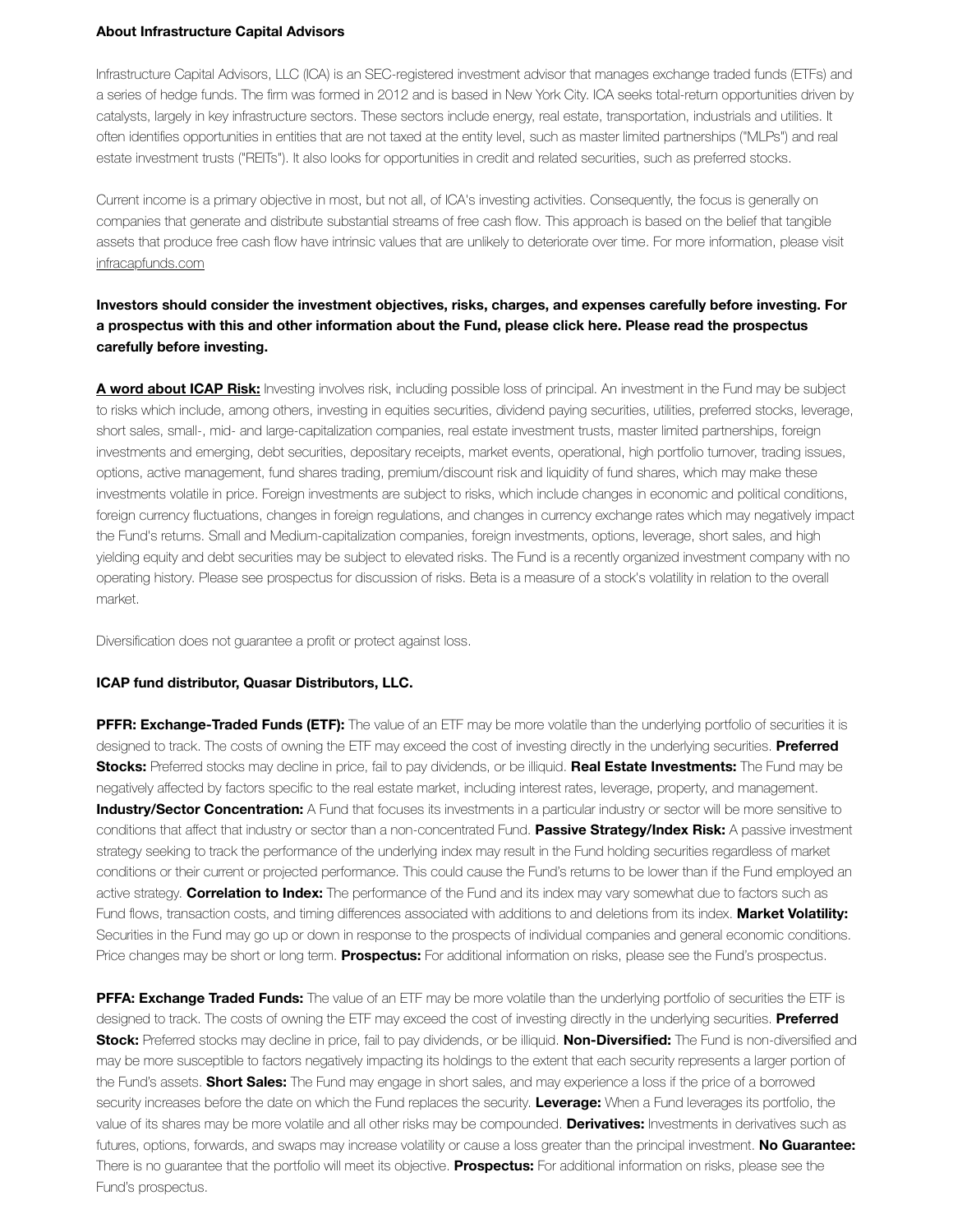#### **About Infrastructure Capital Advisors**

Infrastructure Capital Advisors, LLC (ICA) is an SEC-registered investment advisor that manages exchange traded funds (ETFs) and a series of hedge funds. The firm was formed in 2012 and is based in New York City. ICA seeks total-return opportunities driven by catalysts, largely in key infrastructure sectors. These sectors include energy, real estate, transportation, industrials and utilities. It often identifies opportunities in entities that are not taxed at the entity level, such as master limited partnerships ("MLPs") and real estate investment trusts ("REITs"). It also looks for opportunities in credit and related securities, such as preferred stocks.

Current income is a primary objective in most, but not all, of ICA's investing activities. Consequently, the focus is generally on companies that generate and distribute substantial streams of free cash flow. This approach is based on the belief that tangible assets that produce free cash flow have intrinsic values that are unlikely to deteriorate over time. For more information, please visit [infracapfunds.com](https://cts.businesswire.com/ct/CT?id=smartlink&url=https%3A%2F%2Fwww.infracapfunds.com%2F&esheet=52697775&newsitemid=20220426005801&lan=en-US&anchor=infracapfunds.com&index=8&md5=5aa749baec2ea59144679fe2f17d7c5b)

## **Investors should consider the investment objectives, risks, charges, and expenses carefully before investing. For** a prospectus with this and other information about the Fund, please click here. Please read the prospectus **carefully before investing.**

**A word [about](https://cts.businesswire.com/ct/CT?id=smartlink&url=http%3A%2F%2Finfracapequityincomefundetf.com%2F&esheet=52697775&newsitemid=20220426005801&lan=en-US&anchor=A+word+about+ICAP+Risk%3A&index=9&md5=200cb4ba74ecc660b928eb7ad8ee07b9) ICAP Risk:** Investing involves risk, including possible loss of principal. An investment in the Fund may be subject to risks which include, among others, investing in equities securities, dividend paying securities, utilities, preferred stocks, leverage, short sales, small-, mid- and large-capitalization companies, real estate investment trusts, master limited partnerships, foreign investments and emerging, debt securities, depositary receipts, market events, operational, high portfolio turnover, trading issues, options, active management, fund shares trading, premium/discount risk and liquidity of fund shares, which may make these investments volatile in price. Foreign investments are subject to risks, which include changes in economic and political conditions, foreign currency fluctuations, changes in foreign regulations, and changes in currency exchange rates which may negatively impact the Fund's returns. Small and Medium-capitalization companies, foreign investments, options, leverage, short sales, and high yielding equity and debt securities may be subject to elevated risks. The Fund is a recently organized investment company with no operating history. Please see prospectus for discussion of risks. Beta is a measure of a stock's volatility in relation to the overall market.

Diversification does not guarantee a profit or protect against loss.

#### **ICAP fund distributor, Quasar Distributors, LLC.**

**PFFR: Exchange-Traded Funds (ETF):** The value of an ETF may be more volatile than the underlying portfolio of securities it is designed to track. The costs of owning the ETF may exceed the cost of investing directly in the underlying securities. **Preferred Stocks:** Preferred stocks may decline in price, fail to pay dividends, or be illiquid. **Real Estate Investments:** The Fund may be negatively affected by factors specific to the real estate market, including interest rates, leverage, property, and management. **Industry/Sector Concentration:** A Fund that focuses its investments in a particular industry or sector will be more sensitive to conditions that affect that industry or sector than a non-concentrated Fund. **Passive Strategy/Index Risk:** A passive investment strategy seeking to track the performance of the underlying index may result in the Fund holding securities regardless of market conditions or their current or projected performance. This could cause the Fund's returns to be lower than if the Fund employed an active strategy. **Correlation to Index:** The performance of the Fund and its index may vary somewhat due to factors such as Fund flows, transaction costs, and timing differences associated with additions to and deletions from its index. **Market Volatility:** Securities in the Fund may go up or down in response to the prospects of individual companies and general economic conditions. Price changes may be short or long term. **Prospectus:** For additional information on risks, please see the Fund's prospectus.

**PFFA: Exchange Traded Funds:** The value of an ETF may be more volatile than the underlying portfolio of securities the ETF is designed to track. The costs of owning the ETF may exceed the cost of investing directly in the underlying securities. **Preferred Stock:** Preferred stocks may decline in price, fail to pay dividends, or be illiquid. **Non-Diversified:** The Fund is non-diversified and may be more susceptible to factors negatively impacting its holdings to the extent that each security represents a larger portion of the Fund's assets. **Short Sales:** The Fund may engage in short sales, and may experience a loss if the price of a borrowed security increases before the date on which the Fund replaces the security. **Leverage:** When a Fund leverages its portfolio, the value of its shares may be more volatile and all other risks may be compounded. **Derivatives:** Investments in derivatives such as futures, options, forwards, and swaps may increase volatility or cause a loss greater than the principal investment. **No Guarantee:** There is no guarantee that the portfolio will meet its objective. **Prospectus:** For additional information on risks, please see the Fund's prospectus.